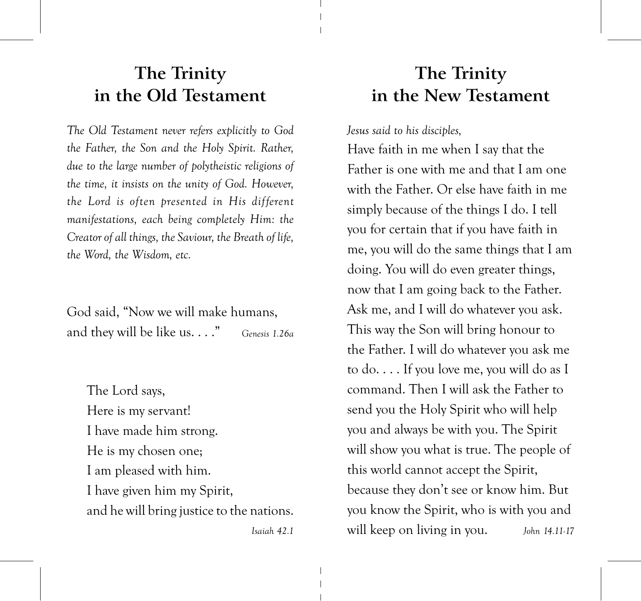## The Trinity in the Old Testament

The Old Testament never refers explicitly to God the Father, the Son and the Holy Spirit. Rather, due to the large number of polytheistic religions of the time, it insists on the unity of God. However, the Lord is often presented in His different manifestations, each being completely Him: the Creator of all things, the Saviour, the Breath of life, the Word, the Wisdom, etc.

God said. "Now we will make humans. and they will be like us. . . ." Genesis 1.26a

The Lord says, Here is my servant! I have made him strong. He is my chosen one; I am pleased with him. I have given him my Spirit, and he will bring justice to the nations.

Isaiah 42.1

## The Trinity in the New Testament

Jesus said to his disciples,

Have faith in me when I say that the Father is one with me and that I am one with the Father. Or else have faith in me simply because of the things I do. I tell you for certain that if you have faith in me, you will do the same things that I am doing. You will do even greater things, now that I am going back to the Father. Ask me, and I will do whatever you ask. This way the Son will bring honour to the Father. I will do whatever you ask me to do.... If you love me, you will do as I command. Then I will ask the Father to send you the Holy Spirit who will help you and always be with you. The Spirit will show you what is true. The people of this world cannot accept the Spirit, because they don't see or know him. But you know the Spirit, who is with you and will keep on living in you. John 14.11-17